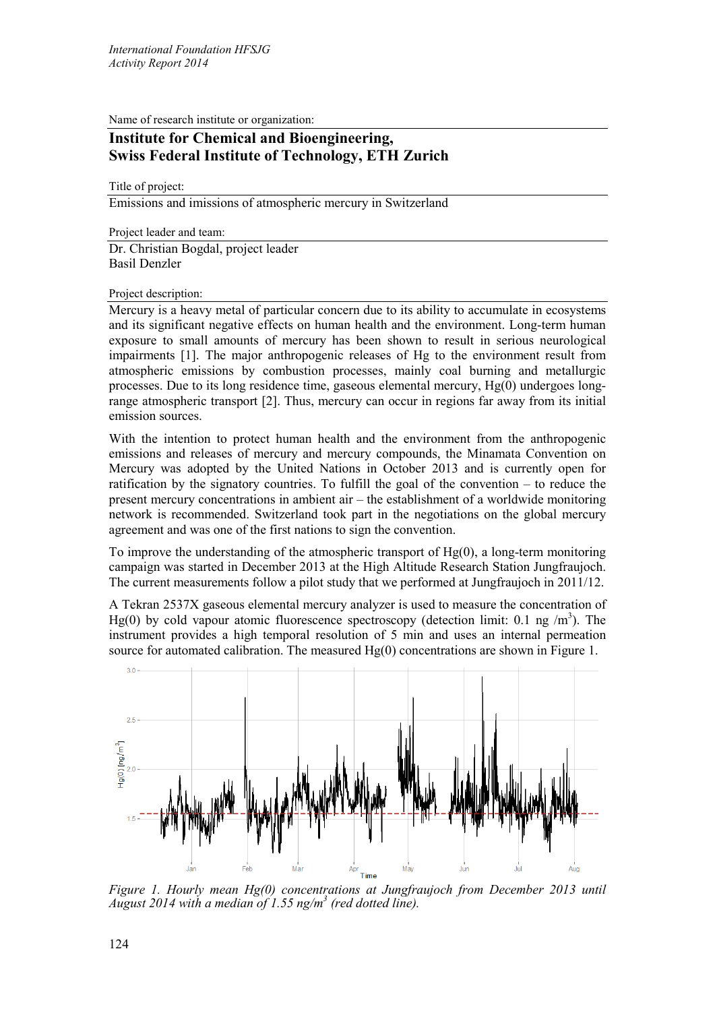Name of research institute or organization:

## **Institute for Chemical and Bioengineering, Swiss Federal Institute of Technology, ETH Zurich**

Title of project:

Emissions and imissions of atmospheric mercury in Switzerland

Project leader and team: Dr. Christian Bogdal, project leader Basil Denzler

Project description:

Mercury is a heavy metal of particular concern due to its ability to accumulate in ecosystems and its significant negative effects on human health and the environment. Long-term human exposure to small amounts of mercury has been shown to result in serious neurological impairments [1]. The major anthropogenic releases of Hg to the environment result from atmospheric emissions by combustion processes, mainly coal burning and metallurgic processes. Due to its long residence time, gaseous elemental mercury, Hg(0) undergoes longrange atmospheric transport [2]. Thus, mercury can occur in regions far away from its initial emission sources.

With the intention to protect human health and the environment from the anthropogenic emissions and releases of mercury and mercury compounds, the Minamata Convention on Mercury was adopted by the United Nations in October 2013 and is currently open for ratification by the signatory countries. To fulfill the goal of the convention – to reduce the present mercury concentrations in ambient air – the establishment of a worldwide monitoring network is recommended. Switzerland took part in the negotiations on the global mercury agreement and was one of the first nations to sign the convention.

To improve the understanding of the atmospheric transport of  $Hg(0)$ , a long-term monitoring campaign was started in December 2013 at the High Altitude Research Station Jungfraujoch. The current measurements follow a pilot study that we performed at Jungfraujoch in 2011/12.

A Tekran 2537X gaseous elemental mercury analyzer is used to measure the concentration of Hg(0) by cold vapour atomic fluorescence spectroscopy (detection limit: 0.1 ng  $/m<sup>3</sup>$ ). The instrument provides a high temporal resolution of 5 min and uses an internal permeation source for automated calibration. The measured  $Hg(0)$  concentrations are shown in Figure 1.



*Figure 1. Hourly mean Hg(0) concentrations at Jungfraujoch from December 2013 until August 2014 with a median of 1.55 ng/m3 (red dotted line).*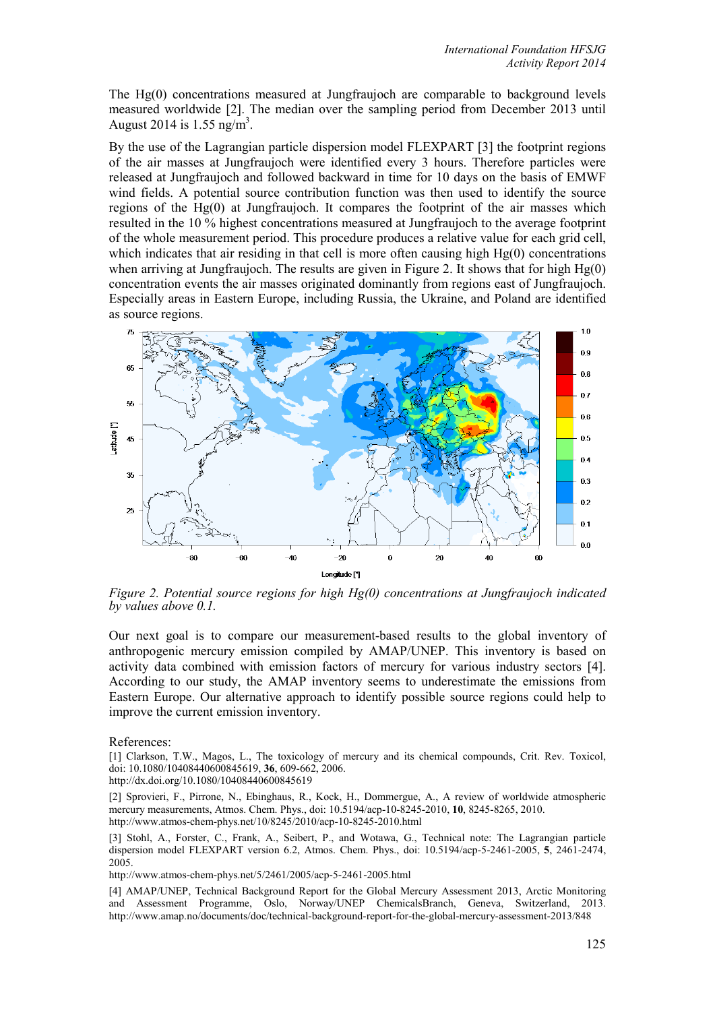The Hg(0) concentrations measured at Jungfraujoch are comparable to background levels measured worldwide [2]. The median over the sampling period from December 2013 until August 2014 is  $1.55$  ng/m<sup>3</sup>.

By the use of the Lagrangian particle dispersion model FLEXPART [3] the footprint regions of the air masses at Jungfraujoch were identified every 3 hours. Therefore particles were released at Jungfraujoch and followed backward in time for 10 days on the basis of EMWF wind fields. A potential source contribution function was then used to identify the source regions of the  $Hg(0)$  at Jungfraujoch. It compares the footprint of the air masses which resulted in the 10 % highest concentrations measured at Jungfraujoch to the average footprint of the whole measurement period. This procedure produces a relative value for each grid cell, which indicates that air residing in that cell is more often causing high  $Hg(0)$  concentrations when arriving at Jungfraujoch. The results are given in Figure 2. It shows that for high Hg(0) concentration events the air masses originated dominantly from regions east of Jungfraujoch. Especially areas in Eastern Europe, including Russia, the Ukraine, and Poland are identified as source regions.



*Figure 2. Potential source regions for high Hg(0) concentrations at Jungfraujoch indicated by values above 0.1.* 

Our next goal is to compare our measurement-based results to the global inventory of anthropogenic mercury emission compiled by AMAP/UNEP. This inventory is based on activity data combined with emission factors of mercury for various industry sectors [4]. According to our study, the AMAP inventory seems to underestimate the emissions from Eastern Europe. Our alternative approach to identify possible source regions could help to improve the current emission inventory.

## References:

[1] Clarkson, T.W., Magos, L., The toxicology of mercury and its chemical compounds, Crit. Rev. Toxicol, doi: 10.1080/10408440600845619, **36**, 609-662, 2006.

http://dx.doi.org/10.1080/10408440600845619

[2] Sprovieri, F., Pirrone, N., Ebinghaus, R., Kock, H., Dommergue, A., A review of worldwide atmospheric mercury measurements, Atmos. Chem. Phys., doi: 10.5194/acp-10-8245-2010, **10**, 8245-8265, 2010. http://www.atmos-chem-phys.net/10/8245/2010/acp-10-8245-2010.html

[3] Stohl, A., Forster, C., Frank, A., Seibert, P., and Wotawa, G., Technical note: The Lagrangian particle dispersion model FLEXPART version 6.2, Atmos. Chem. Phys., doi: 10.5194/acp-5-2461-2005, **5**, 2461-2474, 2005.

http://www.atmos-chem-phys.net/5/2461/2005/acp-5-2461-2005.html

[4] AMAP/UNEP, Technical Background Report for the Global Mercury Assessment 2013, Arctic Monitoring and Assessment Programme, Oslo, Norway/UNEP ChemicalsBranch, Geneva, Switzerland, 2013. http://www.amap.no/documents/doc/technical-background-report-for-the-global-mercury-assessment-2013/848